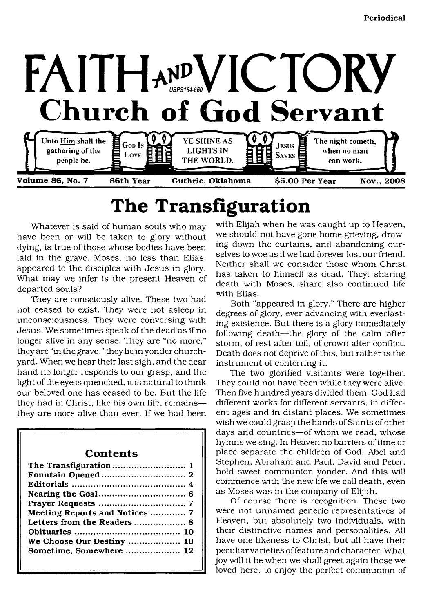

# <span id="page-0-0"></span>**The Transfiguration**

Whatever is said of human souls who may have been or will be taken to glory without dying, is true of those whose bodies have been laid in the grave. Moses, no less than Elias, appeared to the disciples with Jesus in glory. What may we infer is the present Heaven of departed souls?

They are consciously alive. These two had not ceased to exist. They were not asleep in unconsciousness. They were conversing with Jesus. We sometimes speak of the dead as if no longer alive in any sense. They are "no more," they are "in the grave," they lie in yonder churchyard. When we hear their last sigh, and the dear hand no longer responds to our grasp, and the light of the eye is quenched, it is natural to think our beloved one has ceased to be. But the life they had in Christ, like his own life, remains they are more alive than ever. If we had been

#### **Contents**

| Meeting Reports and Notices  7 |
|--------------------------------|
| Letters from the Readers  8    |
|                                |
| We Choose Our Destiny  10      |
| Sometime, Somewhere  12        |
|                                |

with Elijah when he was caught up to Heaven, we should not have gone home grieving, drawing down the curtains, and abandoning ourselves to woe as if we had forever lost our friend. Neither shall we consider those whom Christ has taken to himself as dead. They, sharing death with Moses, share also continued life with Elias.

Both "appeared in glory." There are higher degrees of glory, ever advancing with everlasting existence. But there is a glory immediately following death—the glory of the calm after storm, of rest after toil, of crown after conflict. Death does not deprive of this, but rather is the instrument of conferring it.

The two glorified visitants were together. They could not have been while they were alive. Then five hundred years divided them. God had different works for different servants, in different ages and in distant places. We sometimes wish we could grasp the hands of Saints of other days and countries—of whom we read, whose hymns we sing. In Heaven no barriers of time or place separate the children of God. Abel and Stephen, Abraham and Paul, David and Peter, hold sweet communion yonder. And this will commence with the new life we call death, even as Moses was in the company of Elijah.

Of course there is recognition. These two were not unnamed generic representatives of Heaven, but absolutely two individuals, with their distinctive names and personalities. All have one likeness to Christ, but all have their peculiar varieties of feature and character. What joy wall it be when we shall greet again those we loved here, to enjoy the perfect communion of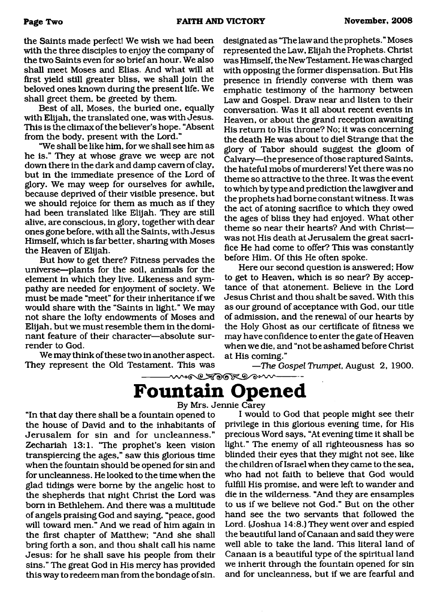the Saints made perfect! We wish we had been with the three disciples to enjoy the company of the two Saints even for so brief an hour. We also shall meet Moses and Elias. And what will at first yield still greater bliss, we shall join the beloved ones known during the present life. We shall greet them, be greeted by them.

Best of all, Moses, the buried one, equally with Elijah, the translated one, was with Jesus. This is the climax of the believer's hope. "Absent from the body, present with the Lord."

"We shall be like him, for we shall see him as he is." They at whose grave we weep are not down there in the dark and damp cavern of clay, but in the immediate presence of the Lord of glory. We may weep for ourselves for awhile, because deprived of their visible presence, but we should rejoice for them as much as if they had been translated like Elijah. They are still alive, are conscious, in glory, together with dear ones gone before, with all the Saints, with Jesus Himself, which is far better, sharing with Moses the Heaven of Elijah.

But how to get there? Fitness pervades the universe—plants for the soil, animals for the element in which they live. Likeness and sympathy are needed for enjoyment of society. We must be made "meet" for their inheritance if we would share with the "Saints in light." We may not share the lofty endowments of Moses and Elijah, but we must resemble them in the dominant feature of their character—absolute surrender to God.

We may think of these two in another aspect. They represent the Old Testament. This was designated as "The law and the prophets." Moses represented the Law, Elijah the Prophets. Christ was Himself, the NewTestament. He was charged with opposing the former dispensation. But His presence in friendly converse with them was emphatic testimony of the harmony between Law and Gospel. Draw near and listen to their conversation. Was it all about recent events in Heaven, or about the grand reception awaiting His return to His throne? No; it was concerning the death He was about to die! Strange that the glory of Tabor should suggest the gloom of Calvary—the presence of those raptured Saints, the hateful mobs of murderers! Yet there was no theme so attractive to the three. It was the event to which by type and prediction the lawgiver and the prophets had borne constant witness. It was the act of atoning sacrifice to which they owed the ages of bliss they had enjoyed. What other theme so near their hearts? And with Christ was not His death at Jerusalem the great sacrifice He had come to offer? This was constantly before Him. Of this He often spoke.

Here our second question is answered; How to get to Heaven, which is so near? By acceptance of that atonement. Believe in the Lord Jesus Christ and thou shalt be saved. With this as our ground of acceptance with God, our title of admission, and the renewal of our hearts by the Holy Ghost as our certificate of fitness we may have confidence to enter the gate of Heaven when we die, and "not be ashamed before Christ at His coming."

*—The Gospel Trumpet,* August 2, 1900.

<span id="page-1-0"></span>more Tookerom -**Fountain Opened**

By Mrs. Jennie Carey

"In that day there shall be a fountain opened to the house of David and to the inhabitants of Jerusalem for sin and for uncleanness." Zechariah 13:1. "The prophet's keen vision transpiercing the ages," saw this glorious time when the fountain should be opened for sin and for uncleanness. He looked to the time when the glad tidings were borne by the angelic host to the shepherds that night Christ the Lord was bom in Bethlehem. And there was a multitude of angels praising God and saying, "peace, good will toward men." And we read of him again in the first chapter of Matthew; "And she shall bring forth a son, and thou shalt call his name Jesus: for he shall save his people from their sins." The great God in His mercy has provided this way to redeem man from the bondage of sin.

I would to God that people might see their privilege in this glorious evening time, for His precious Word says, "At evening time it shall be light." The enemy of all righteousness has so blinded their eyes that they might not see, like the children of Israel when they came to the sea, who had not faith to believe that God would fulfill His promise, and were left to wander and die in the wilderness. "And they are ensamples to us if we believe not God." But on the other hand see the two servants that followed the Lord. (Joshua 14:8.) They went over and espied the beautiful land of Canaan and said they were well able to take the land. This literal land of Canaan is a beautiful type of the spiritual land we inherit through the fountain opened for sin and for uncleanness, but if we are fearful and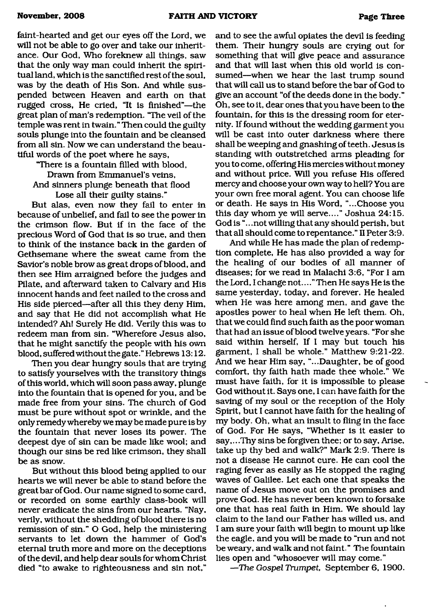faint-hearted and get our eyes off the Lord, we will not be able to go over and take our inheritance. Our God, Who foreknew all things, saw that the only way man could inherit the spiritual land, which is the sanctified rest of the soul, was by the death of His Son. And while suspended between Heaven and earth on that rugged cross, He cried, "It is finished"—the great plan of man's redemption. "The veil of the temple was rent in twain." Then could the guilty souls plunge into the fountain and be cleansed from all sin. Now we can understand the beautiful words of the poet where he says,

"There is a fountain filled with blood, Drawn from Emmanuel's veins. And sinners plunge beneath that flood Lose all their guilty stains."

But alas, even now they fail to enter in because of unbelief, and fail to see the power in the crimson flow. But if in the face of the precious Word of God that is so true, and then to think of the instance back in the garden of Gethsemane where the sweat came from the Savior's noble brow as great drops of blood, and then see Him arraigned before the judges and Pilate, and afterward taken to Calvary and His innocent hands and feet nailed to the cross and His side pierced—after all this they deny Him, and say that He did not accomplish what He intended? Ah! Surely He did. Verily this was to redeem man from sin. "Wherefore Jesus also, that he might sanctify the people with his own blood, suffered without the gate. "Hebrews 13:12.

Then you dear hungry souls that are trying to satisfy yourselves with the transitory things of this world, which will soon pass away, plunge into the fountain that is opened for you, and be made free from your sins. The church of God must be pure without spot or wrinkle, and the only remedy whereby we may be made pure is by the fountain that never loses its power. The deepest dye of sin can be made like wool; and though our sins be red like crimson, they shall be as snow.

But without this blood being applied to our hearts we will never be able to stand before the great bar of God. Our name signed to some card, or recorded on some earthly class-book will never eradicate the sins from our hearts. "Nay, verily, without the shedding of blood there is no remission of sin." O God, help the ministering servants to let down the hammer of God's eternal truth more and more on the deceptions of the devil, and help dear souls for whom Christ died "to awake to righteousness and sin not,"

and to see the awful opiates the devil is feeding them. Their hungry souls are crying out for something that will give peace and assurance and that will last when this old world is consumed—when we hear the last trump sound that will call us to stand before the bar of God to give an account "of the deeds done in the body." Oh, see to it, dear ones that you have been to the fountain, for this is the dressing room for eternity. If found without the wedding garment you will be cast into outer darkness where there shall be weeping and gnashing of teeth. Jesus is standing with outstretched arms pleading for you to come, offering His mercies without money and without price. Will you refuse His offered mercy and choose your own way to hell? You are your own free moral agent. You can choose life or death. He says in His Word, "...Choose you this day whom ye will serve...." Joshua 24:15. God is ".. .not willing that any should perish, but that all should come to repentance." II Peter 3:9.

And while He has made the plan of redemption complete, He has also provided a way for the healing of our bodies of all manner of diseases; for we read in Malachi 3:6, "For I am the Lord, I change not... ."Then He says He is the same yesterday, today, and forever. He healed when He was here among men, and gave the apostles power to heal when He left them. Oh, that we could find such faith as the poor woman that had an issue of blood twelve years. "For she said within herself, If I may but touch his garment, I shall be whole." Matthew 9:21-22. And we hear Him say, "...Daughter, be of good comfort, thy faith hath made thee whole." We must have faith, for it is impossible to please God without it. Says one, I can have faith for the saving of my soul or the reception of the Holy Spirit, but I cannot have faith for the healing of my body. Oh, what an insult to fling in the face of God. For He says, "Whether is it easier to say,...Thy sins be forgiven thee; or to say, Arise, take up thy bed and walk?" Mark 2:9. There is not a disease He cannot cure. He can cool the raging fever as easily as He stopped the raging waves of Galilee. Let each one that speaks the name of Jesus move out on the promises and prove God. He has never been known to forsake one that has real faith in Him. We should lay claim to the land our Father has willed us, and I am sure your faith will begin to mount up like the eagle, and you will be made to "run and not be weary, and walk and not faint." The fountain lies open and "whosoever will may come."

*—The Gospel Trumpet,* September 6, 1900.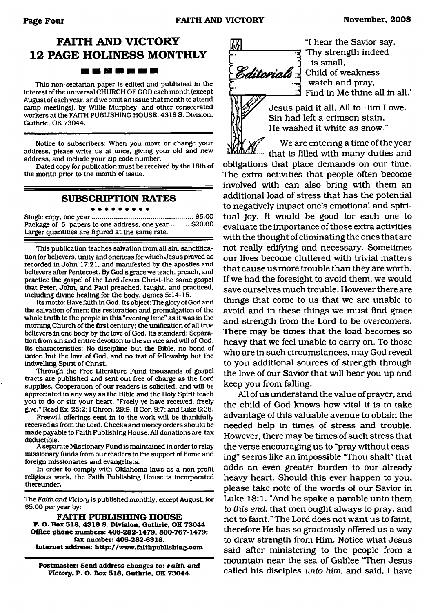## **FAITH AND VICTORY 12 PAGE HOLINESS MONTHLY** --------

This non-sectarian paper is edited and published in the interest of the universal CHURCH OF GOD each month (except August of each year, and we omit an issue that month to attend camp meetings), by Willie Murphey, and other consecrated workers at the FAITH PUBLISHING HOUSE, 4318 S. Division. Guthrie, OK 73044.

Notice to subscribers: When you move or change your address, please write us at once, giving your old and new address, and include your zip code number.

Dated copy for publication must be received by the 18th of the month prior to the month of issue.

#### **SUBSCRIPTION RATES** . . . . . . . . .

Single copy, one year......................................................\$5.00 Package of 5 papers to one address, one year ......... \$20.00 Larger quantities are figured at the same rate.

This publication teaches salvation from all sin, sanctification for believers, unity and oneness for which Jesus prayed as recorded in John 17:21, and manifested by the apostles and believers after Pentecost. By God's grace we teach, preach, and practice the gospel of the Lord Jesus Christ-the same gospel that Peter, John, and Paul preached, taught, and practiced. Including divine healing for the body. James 5:14-15.

Its motto: Have faith in God. Its object: The glory of God and the salvation of men; the restoration and promulgation of the whole truth to the people in this "evening time" as it was in the morning Church of the first century; the unification of all true believers in one body by the love of God. Its standard: Separation from sin and entire devotion to the service and will of God. Its characteristics: No discipline but the Bible, no bond of union but the love of God, and no test of fellowship but the Indwelling Spirit of Christ.

Through the Free Literature Fund thousands of gospel tracts are published and sent out free of charge as the Lord supplies. Cooperation of our readers is solicited, and will be appreciated in any way as the Bible and the Holy Spirit teach you to do or stir your heart. "Freely ye have received, freely give." Read Ex. 25:2; I Chron. 29:9; II Cor. 9:7; and Luke 6:38.

Freewill offerings sent in to the work will be thankfully received as from the Lord. Checks and money orders should be made payable to Faith Publishing House. All donations are tax deductible.

A separate Missionary Fund is maintained in order to relay missionary funds from our readers to the support of home and foreign missionaries and evangelists.

In order to comply with Oklahoma laws as a non-profit religious work, the Faith Publishing House is incorporated thereunder.

The *Faith and Victory* is published monthly, except August, for \$5.00 per year by:

**FAITH PUBLISHING HOUSE P. O. Box 518. 4318 S. Division. Guthrie. OK 73044 Office phone numbers: 405-282-1479, 800-767-1479; fax number: 405-282-6318. Internet address: <http://www.faithpublishing.com>**

**Postmaster: Send address changes to:** *Faith and Victory,* **P. O. Box 518, Guthrie. OK 73044.**



"I hear the Savior say, Thy strength indeed is small, Editorials - Child of weakness watch and pray, Find in Me thine all in all.'

> Jesus paid it all, All to Him I owe. Sin had left a crimson stain, He washed it white as snow."

We are entering a time of the year  $\Delta \mathcal{U}$ .... that is filled with many duties and

obligations that place demands on our time. The extra activities that people often become involved with can also bring with them an additional load of stress that has the potential to negatively impact one's emotional and spiritual joy. It would be good for each one to evaluate the importance of those extra activities with the thought of eliminating the ones that are not really edifying and necessary. Sometimes our lives become cluttered with trivial matters that cause us more trouble than they are worth. If we had the foresight to avoid them, we would save ourselves much trouble. However there are things that come to us that we are unable to avoid and in these things we must find grace and strength from the Lord to be overcomers. There may be times that the load becomes so heavy that we feel unable to carry on. To those who are in such circumstances, may God reveal to you additional sources of strength through the love of our Savior that will bear you up and keep you from falling.

All of us understand the value of prayer, and the child of God knows how vital it is to take advantage of this valuable avenue to obtain the needed help in times of stress and trouble. However, there may be times of such stress that the verse encouraging us to "pray without ceasing" seems like an impossible "Thou shalt" that adds an even greater burden to our already heavy heart. Should this ever happen to you, please take note of the words of our Savior in Luke 18:1. "And he spake a parable unto them *to this end,* that men ought always to pray, and not to faint." The Lord does not want us to faint, therefore He has so graciously offered us a way to draw strength from Him. Notice what Jesus said after ministering to the people from a mountain near the sea of Galilee "Then Jesus called his disciples *unto him,* and said, I have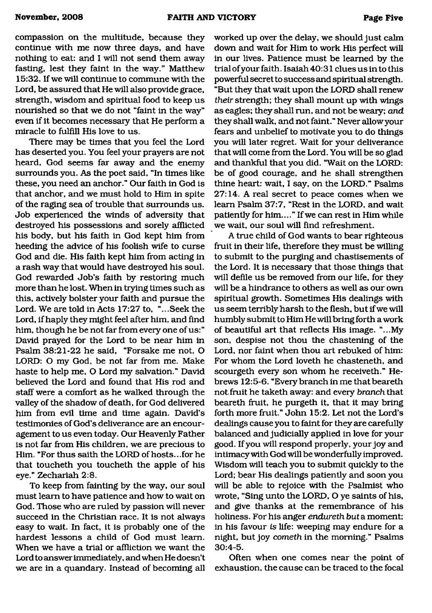compassion on the multitude, because they continue with me now three days, and have nothing to eat: and I will not send them away fasting, lest they faint in the way." Matthew 15:32. If we will continue to commune with the Lord, be assured that He will also provide grace, strength, wisdom and spiritual food to keep us nourished so that we do not "faint in the way" even if it becomes necessary that He perform a miracle to fulfill His love to us.

There may be times that you feel the Lord has deserted you. You feel your prayers are not heard, God seems far away and the enemy surrounds you. As the poet said, "In times like these, you need an anchor." Our faith in God is that anchor, and we must hold to Him in spite of the raging sea of trouble that surrounds us. Job experienced the winds of adversity that destroyed his possessions and sorely afflicted his body, but his faith in God kept him from heeding the advice of his foolish wife to curse God and die. His faith kept him from acting in a rash way that would have destroyed his soul. God rewarded Job's faith by restoring much more than he lost. When in trying times such as this, actively bolster your faith and pursue the Lord. We are told in Acts 17:27 to, "...Seek the Lord, if haply they might feel after him, and find him, though he be not far from every one of us:" David prayed for the Lord to be near him in Psalm 38:21-22 he said, "Forsake me not, O LORD: O my God, be not far from me. Make haste to help me, O Lord my salvation." David believed the Lord and found that His rod and staff were a comfort as he walked through the valley of the shadow of death, for God delivered him from evil time and time again. David's testimonies of God's deliverance are an encouragement to us even today. Our Heavenly Father is not far from His children, we are precious to Him. "For thus saith the LORD of hosts...for he that toucheth you toucheth the apple of his eye." Zechariah 2:8.

To keep from fainting by the way, our soul must learn to have patience and how to wait on God. Those who are ruled by passion will never succeed in the Christian race. It is not always easy to wait. In fact, it is probably one of the hardest lessons a child of God must learn. When we have a trial or affliction we want the Lord to answer immediately, and when He doesn't we are in a quandary. Instead of becoming all

worked up over the delay, we should just calm down and wait for Him to work His perfect will in our lives. Patience must be learned by the trial of your faith. Isaiah 40:31 clues us in to this powerful secret to success and spiritual strength. "But they that wait upon the LORD shall renew *their* strength; they shall mount up with wings as eagles; they shall run, and not be weary; *and* they shall walk, and not faint." Never allow your fears and unbelief to motivate you to do things you will later regret. Wait for your deliverance that will come from the Lord. You will be so glad and thankful that you did. "Wait on the LORD: be of good courage, and he shall strengthen thine heart: wait, I say, on the LORD." Psalms 27:14. A real secret to peace comes when we learn Psalm 37:7, "Rest in the LORD, and wait patiently for him...." If we can rest in Him while we wait, our soul will find refreshment.

A true child of God wants to bear righteous fruit in their life, therefore they must be willing to submit to the purging and chastisements of the Lord. It is necessary that those things that will defile us be removed from our life, for they will be a hindrance to others as well as our own spiritual growth. Sometimes His dealings with us seem terribly harsh to the flesh, but if we will humbly submit to Him He will bring forth a work of beautiful art that reflects His image. "...My son, despise not thou the chastening of the Lord, nor faint when thou art rebuked of him: For whom the Lord loveth he chasteneth, and scourgeth every son whom he receiveth." Hebrews 12:5-6. "Every branch in me that beareth not. fruit he taketh away: and every *branch* that beareth fruit, he purgeth it, that it may bring forth more fruit." John 15:2. Let not the Lord's dealings cause you to faint for they are carefully balanced and judicially applied in love for your good. If you will respond properly, your joy and intimacy with God will be wonderfully improved. Wisdom will teach you to submit quickly to the Lord; bear His dealings patiently and soon you will be able to rejoice with the Psalmist who wrote, "Sing unto the LORD, O ye saints of his, and give thanks at the remembrance of his holiness. For his anger *endureth but a* moment; in his favour *is* life: weeping may endure for a night, but joy *cometh* in the morning." Psalms 30:4-5.

Often when one comes near the point of exhaustion, the cause can be traced to the focal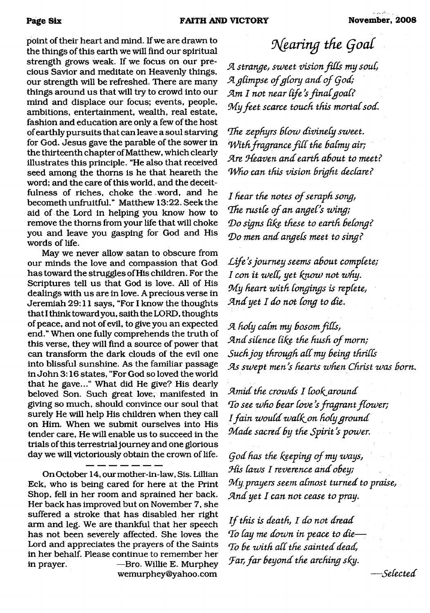point of their heart and mind. If we are drawn to the things of this earth we will find our spiritual strength grows weak. If we focus on our precious Savior and meditate on Heavenly things, our strength will be refreshed. There are many things around us that will try to crowd into our mind and displace our focus; events, people, ambitions, entertainment, wealth, real estate, fashion and education are only a few of the host of earthly pursuits that can leave a soul starving for God. Jesus gave the parable of the sower in the thirteenth chapter of Matthew, which clearly illustrates this principle. "He also that received seed among the thorns is he that heareth the word; and the care of this world, and the deceitfulness of riches, choke the word, and he becometh unfruitful." Matthew 13:22. Seek the aid of the Lord in helping you know how to remove the thorns from your life that will choke you and leave you gasping for God and His words of life.

May we never allow satan to obscure from our minds the love and compassion that God has toward the struggles of His children. For the Scriptures tell us that God is love. All of His dealings with us are in love. A precious verse in Jeremiah 29:11 says, "For I know the thoughts that I think toward you, saith the LORD, thoughts of peace, and not of evil, to give you an expected end." When one fully comprehends the truth of this verse, they will find a source of power that can transform the dark clouds of the evil one into blissful sunshine. As the familiar passage in John 3:16 states, "For God so loved the world that he gave..." What did He give? His dearly beloved Son. Such great love, manifested in giving so much, should convince our soul that surely He will help His children when they call on Him. When we submit ourselves into His tender care, He will enable us to succeed in the trials of this terrestrial journey and one glorious day we will victoriously obtain the crown of life.

On October 14, our mother-in-law, Sis. Lillian Eck, who is being cared for here at the Print Shop, fell in her room and sprained her back. Her back has improved but on November 7, she suffered a stroke that has disabled her right arm and leg. We are thankful that her speech has not been severely affected. She loves the Lord and appreciates the prayers of the Saints in her behalf. Please continue to remember her in prayer. —Bro. Willie E. Murphey [wemurphey@yahoo.com](mailto:wemurphey@yahoo.com)

## $N$ earing the Goal

*Si strange, szveet vision filCs my souC,* A glimpse of glory and of God; *Sim I not near Cife 's finaCgoaC? My feet scarce touch this mortal sod.* 

The zephyrs blow divinely sweet. With fragrance fill the balmy air; *Sire Odeaven and earth aBout to meet ? Who can this vision bright declare?* 

*I* hear the notes of seraph song, *The rustle of an angel's wing;* Do signs like these to earth belong? Do men and angels meet to sing?

*L ife 's journey seems aBout compCete; I con it well, yet know not why. My heart with longings is replete, Sind yet I do not Cong to die.*

*Si hoCy caCm my Bosom fiCCs,* And silence like the hush of morn; Such joy through all my being thrills *Sis szvept men's hearts zvhen Christ zvas Born.*

*Simid the crozvds I Cook^around Lb see zuho Bear Cove's fragrant flozver; I fain would walk on holy ground Made sacred By the Spirit 's pozver.*

God has the keeping of my ways, *His laws I reverence and obey; My.prayers seem aCmost turned to praise, Sind yet I can not cease to pray.*

*I f this is death, I do not dread Lo Cay me dozvn in peace to die— Lo Be zvith aCC the sainted dead,* Far, far beyond the arching sky.

*— SeCected*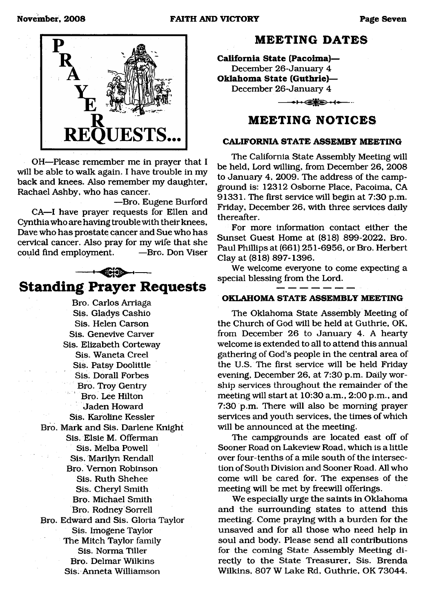

OH—Please remember me in prayer that I will be able to walk again. I have trouble in my back and knees. Also remember my daughter, Rachael Ashby, who has cancer.

—Bro. Eugene Burford CA—I have prayer requests for Ellen and Cynthia who are having trouble with their knees, Dave who has prostate cancer and Sue who has cervical cancer. Also pray for my wife that she could find employment. —Brc. Don Viser



Bro. Carlos Arriaga Sis. Gladys Cashio Sis. Helen Carson Sis. Genevive Carver Sis. Elizabeth Corteway Sis. Waneta Creel Sis. Patsy Doolittle Sis. Dorall Forbes Bro. Troy Gentry Bro. Lee Hilton Jaden Howard Sis. Karoline Kessler Bro. Mark and Sis. Darlene Knight Sis. Elsie M. Offerman Sis. Melba Powell  $\sim$ Sis. Marilyn Rendall Bro. Vernon Robinson Sis. Ruth Shehee Sis. Cheryl Smith Bro. Michael Smith Bro. Rodney Sorrell Bro. Edward and Sis. Gloria Taylor Sis. Imogene Taylor The Mitch Taylor family Sis. Norma Tiller Bro. Delmar Wilkins Sis. Anneta Williamson

### **MEETING DATES**

**California State (Pacoima)—** December 26-January 4 **Oklahoma State (Guthrie)—** December 26-January 4

### **MEETING NOTICES**

 $- + -$ 

#### **CALIFORNIA STATE ASSEMBY MEETING**

The California State Assembly Meeting will be held, Lord willing, from December 26, 2008 to January 4, 2009. The address of the campground is: 12312 Osborne Place, Pacoima, CA 91331. The first service will begin at 7:30 p.m. Friday, December 26, with three services daily thereafter.

For more information contact either the Sunset Guest Home at (818) 899-2022, Bro. Paul Phillips at (661) 251-6956, or Bro. Herbert Clay at (818) 897-1396.

We welcome everyone to come expecting a special blessing from the Lord.

#### **OKLAHOMA STATE ASSEMBLY MEETING**

The Oklahoma State Assembly Meeting of the Church of God will be held at Guthrie, OK, from December 26 to January 4. A hearty welcome is extended to all to attend this annual gathering of God's people in the central area of the U.S. The first service will be held Friday evening, December 26, at 7:30 p.m. Daily worship services throughout the remainder of the meeting will start at 10:30 a.m., 2:00 p.m., and 7:30 p.m. There will also be morning prayer services and youth services, the times of which will be announced at the meeting.

The campgrounds are located east off of Sooner Road on Lakeview Road, which is a little over four-tenths of a mile south of the intersection of South Division and Sooner Road. All who come will be cared for. The expenses of the meeting will be met by freewill offerings.

We especially urge the saints in Oklahoma and the surrounding states to attend this meeting. Come praying with a burden for the unsaved and for all those who need help in soul and body. Please send all contributions for the coming State Assembly Meeting directly to the State Treasurer, Sis. Brenda Wilkins. 807 W Lake Rd, Guthrie, OK 73044.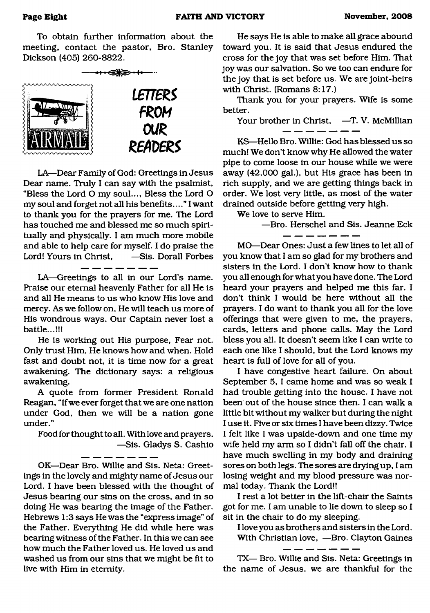To obtain farther information about the meeting, contact the pastor, Bro. Stanley Dickson (405) 260-8822.



LA—Dear Family of God: Greetings in Jesus Dear name. Truly I can say with the psalmist, "Bless the Lord O my soul..., Bless the Lord O my soul and forget not all his benefits...." I want to thank you for the prayers for me. The Lord has touched me and blessed me so much spiritually and physically. I am much more mobile and able to help care for myself. I do praise the Lord! Yours in Christ, —Sis. Dorall Forbes

LA—Greetings to all in our Lord's name. Praise our eternal heavenly Father for all He is and all He means to us who know His love and mercy. As we follow on, He will teach us more of His wondrous ways. Our Captain never lost a battle...!!!

He is working out His purpose, Fear not. Only trust Him, He knows how and when. Hold fast and doubt not, it is time now for a great awakening. The dictionary says: a religious awakening.

A quote from former President Ronald Reagan, "If we ever forget that we are one nation under God, then we will be a nation gone under."

Food for thought to all. With love and prayers, —Sis. Gladys S. Cashio

OK—Dear Bro. Willie and Sis. Neta: Greetings in the lovely and mighty name of Jesus our Lord. I have been blessed with the thought of Jesus bearing our sins on the cross, and in so doing He was bearing the image of the Father. Hebrews 1:3 says He was the "express image" of the Father. Everything He did while here was bearing witness of the Father. In this we can see how much the Father loved us. He loved us and washed us from our sins that we might be fit to live with Him in eternity.

He says He is able to make all grace abound toward you. It is said that Jesus endured the cross for the joy that was set before Him. That joy was our salvation. So we too can endure for the joy that is set before us. We are joint-heirs with Christ. (Romans 8:17.)

Thank you for your prayers. Wife is some better.

Your brother in Christ. —T. V. McMillian

KS—Hello Bro. Willie: God has blessed us so much! We don't know why He allowed the water pipe to come loose in our house while we were away (42,000 gal.), but His grace has been in rich supply, and we are getting things back in order. We lost very little, as most of the water drained outside before getting very high.

Щ.

We love to serve Him.

—Bro. Herschel and Sis. Jeanne Eck

MO—Dear Ones: Just a few lines to let all of you know that I am so glad for my brothers and sisters in the Lord. I don't know how to thank you all enough for what you have done. The Lord heard your prayers and helped me this far. I don't think I would be here without all the prayers. I do want to thank you all for the love offerings that were given to me, the prayers, cards, letters and phone calls. May the Lord bless you all. It doesn't seem like I can write to each one like I should, but the Lord knows my heart is full of love for all of you.

I have congestive heart failure. On about September 5, I came home and was so weak I had trouble getting into the house. I have not been out of the house since then. I can walk a little bit without my walker but during the night I use it. Five or six times I have been dizzy. Twice I felt like I was upside-down and one time my wife held my arm so I didn't fall off the chair. I have much swelling in my body and draining sores on both legs. The sores are drying up, I am losing weight and my blood pressure was normal today. Thank the Lord!!

I rest a lot better in the lift-chair the Saints got for me. I am unable to lie down to sleep so I sit in the chair to do my sleeping.

I love you as brothers and sisters in the Lord. With Christian love, —Bro. Clayton Gaines

TX— Bro. Willie and Sis. Neta: Greetings in the name of Jesus, we are thankful for the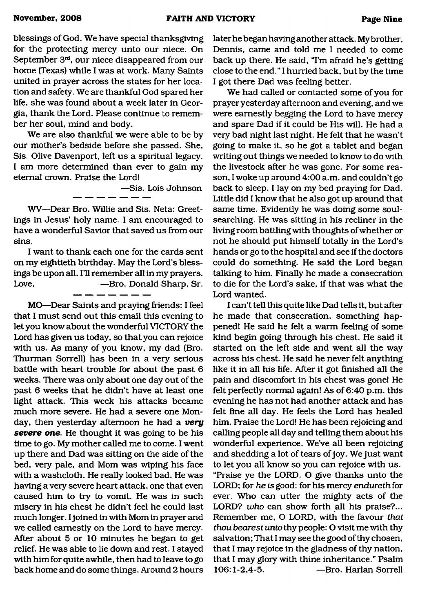blessings of God. We have special thanksgiving for the protecting mercy unto our niece. On September 3rd, our niece disappeared from our home (Texas) while I was at work. Many Saints united in prayer across the states for her location and safety. We are thankful God spared her life, she was found about a week later in Georgia, thank the Lord. Please continue to remember her soul, mind and body.

We are also thankful we were able to be by our mother's bedside before she passed. She, Sis. Olive Davenport, left us a spiritual legacy. I am more determined than ever to gain my eternal crown. Praise the Lord!

—Sis. Lois Johnson

WV—Dear Bro. Willie and Sis. Neta: Greetings in Jesus' holy name. I am encouraged to have a wonderful Savior that saved us from our sins.

I want to thank each one for the cards sent on my eightieth birthday. May the Lord's blessings be upon all. I'll remember all in my prayers. Love, ——Bro. Donald Sharp, Sr.

MO—Dear Saints and praying friends: I feel that I must send out this email this evening to let you know about the wonderful VICTORY the Lord has given us today, so that you can rejoice with us. As many of you know, my dad (Bro. Thurman Sorrell) has been in a very serious battle with heart trouble for about the past 6 weeks. There was only about one day out of the past 6 weeks that he didn't have at least one light attack. This week his attacks became much more severe. He had a severe one Monday, then yesterday afternoon he had a *very severe one.* He thought it was going to be his time to go. My mother called me to come. I went up there and Dad was sitting on the side of the bed, very pale, and Mom was wiping his face with a washcloth. He really looked bad. He was having a very severe heart attack, one that even caused him to try to vomit. He was in such misery in his chest he didn't feel he could last much longer. I joined in with Mom in prayer and we called earnestly on the Lord to have mercy. After about 5 or 10 minutes he began to get relief. He was able to lie down and rest. I stayed with him for quite awhile, then had to leave to go back home and do some things. Around 2 hours

later he began having another attack. My brother, Dennis, came and told me I needed to come back up there. He said, "I'm afraid he's getting close to the end." I hurried back, but by the time I got there Dad was feeling better.

We had called or contacted some of you for prayer yesterday afternoon and evening, and we were earnestly begging the Lord to have mercy and spare Dad if it could be His will. He had a very bad night last night. He felt that he wasn't going to make it, so he got a tablet and began writing out things we needed to know to do with the livestock after he was gone. For some reason, I woke up around 4:00 a.m. and couldn't go back to sleep. I lay on my bed praying for Dad. Little did I know that he also got up around that same time. Evidently he was doing some soulsearching. He was sitting in his recliner in the living room battling with thoughts of whether or not he should put himself totally in the Lord's hands or go to the hospital and see if the doctors could do something. He said the Lord began talking to him. Finally he made a consecration to die for the Lord's sake, if that was what the Lord wanted.

I can't tell this quite like Dad tells it, but after he made that consecration, something happened! He said he felt a warm feeling of some kind begin going through his chest. He said it started on the left side and went all the way across his chest. He said he never felt anything like it in all his life. After it got finished all the pain and discomfort in his chest was gone! He felt perfectly normal again! As of 6:40 p.m. this evening he has not had another attack and has felt fine all day. He feels the Lord has healed him. Praise the Lord! He has been rejoicing and calling people all day and telling them about his wonderful experience. We've all been rejoicing and shedding a lot of tears of joy. We just want to let you all know so you can rejoice with us. "Praise ye the LORD. O give thanks unto the LORD; for *he is* good: for his mercy *endureth* for ever. Who can utter the mighty acts of the LORD? *who* can show forth all his praise?... Remember me, O LORD, with the favour *that thou bearest unto* thy people: O visit me with thy salvation; That I may see the good of thy chosen, that I may rejoice in the gladness of thy nation, that I may glory with thine inheritance." Psalm 106:1-2,4-5. —Bro. Harlan Sorrell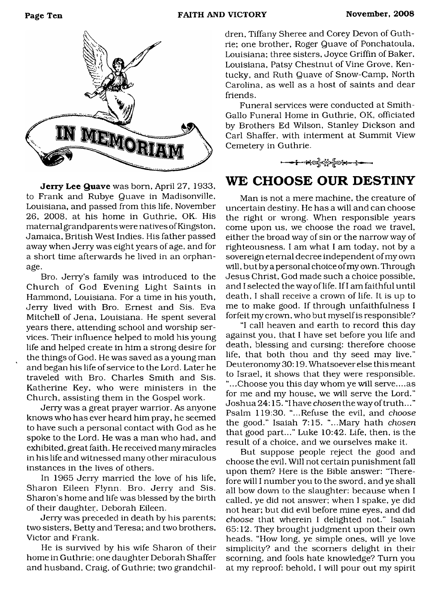

Jerry Lee Quave was born, April 27, 1933, to Frank and Rubye Quave in Madisonville, Louisiana, and passed from this life, November 26, 2008, at his home in Guthrie, OK. His maternal grandparents were natives of Kingston, Jamaica, British West Indies. His father passed away when Jerry was eight years of age, and for a short time afterwards he lived in an orphanage.

Bro. Jerry's family was introduced to the Church of God Evening Light Saints in Hammond, Louisiana. For a time in his youth, Jerry lived with Bro. Ernest and Sis. Eva Mitchell of Jena, Louisiana. He spent several years there, attending school and worship services. Their influence helped to mold his young life and helped create in him a strong desire for the things of God. He was saved as a young man and began his life of service to the Lord. Later he traveled with Bro. Charles Smith and Sis. Katherine Key, who were ministers in the Church, assisting them in the Gospel work.

Jerry was a great prayer warrior. As anyone knows who has ever heard him pray, he seemed to have such a personal contact with God as he spoke to the Lord. He was a man who had, and exhibited, great faith. He received many miracles in his life and witnessed many other miraculous instances in the lives of others.

In 1965 Jerry married the love of his life, Sharon Eileen Flynn. Bro. Jerry and Sis. Sharon's home and life was blessed by the birth of their daughter, Deborah Eileen.

Jerry was preceded in death by his parents; two sisters, Betty and Teresa; and two brothers, Victor and Frank.

He is survived by his wife Sharon of their home in Guthrie; one daughter Deborah Shaffer and husband, Craig, of Guthrie; two grandchildren, Tiffany Sheree and Corey Devon of Guthrie; one brother, Roger Quave of Ponchatoula, Louisiana; three sisters, Joyce Griffin of Baker, Louisiana, Patsy Chestnut of Vine Grove, Kentucky, and Ruth Quave of Snow-Camp, North Carolina, as well as a host of saints and dear friends.

Funeral services were conducted at Smith-Gallo Funeral Home in Guthrie, OK, officiated by Brothers Ed Wilson, Stanley Dickson and Carl Shaffer, with interment at Summit View Cemetery in Guthrie.



## **WE CHOOSE OUR DESTINY**

Man is not a mere machine, the creature of uncertain destiny. He has a will and can choose the right or wrong. When responsible years come upon us, we choose the road we travel, either the broad way of sin or the narrow way of righteousness. I am what I am today, not by a sovereign eternal decree independent of my own will, but by a personal choice of my own. Through Jesus Christ, God made such a choice possible, and I selected the way of life. If I am faithful until death, I shall receive a crown of life. It is up to me to make good. If through unfaithfulness I forfeit my crown, who but myself is responsible?

"I call heaven and earth to record this day against you, that I have set before you life and death, blessing and cursing: therefore choose life, that both thou and thy seed may live." Deuteronomy 30; 19. Whatsoever else this meant to Israel, it shows that they were responsible. "...Choose you this day whom ye will serve....as for me and my house, we will serve the Lord." Joshua 24:15. "I have *chosen* the way of truth..." Psalm 119:30. "...Refuse the evil, and *choose* the good." Isaiah 7:15. "...Mary hath *chosen* that good part..." Luke 10:42. Life, then, is the result of a choice, and we ourselves make it.

But suppose people reject the good and choose the evil. Will not certain punishment fall upon them? Here is the Bible answer: 'Therefore will I number you to the sword, and ye shall all bow down to the slaughter: because when I called, ye did not answer; when I spake, ye did not hear; but did evil before mine eyes, and did *choose* that wherein I delighted not." Isaiah 65:12. They brought judgment upon their own heads. "How long, ye simple ones, will ye love simplicity? and the scomers delight in their scorning, and fools hate knowledge? Turn you at my reproof: behold, I will pour out my spirit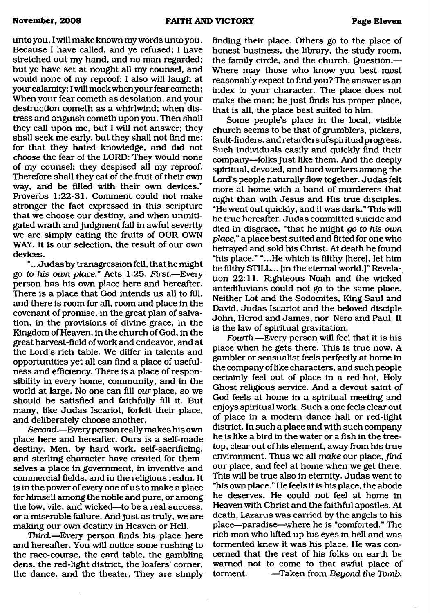unto you, I will make known my words unto you. Because I have called, and ye refused; I have stretched out my hand, and no man regarded; but ye have set at nought all my counsel, and would none of my reproof: I also will laugh at your calamity; I will mock when your fear cometh; When your fear cometh as desolation, and your destruction cometh as a whirlwind; when distress and anguish cometh upon you. Then shall they call upon me, but I will not answer; they shall seek me early, but they shall not find me: for that they hated knowledge, and did not *choose* the fear of the LORD: They would none of my counsel: they despised all my reproof. Therefore shall they eat of the fruit of their own way, and be filled with their own devices." Proverbs 1:22-31. Comment could not make stronger the fact expressed in this scripture that we choose our destiny, and when unmitigated wrath and judgment fall in awful severity we are simply eating the fruits of OUR OWN WAY. It is our selection, the result of our own devices.

".. .Judas by transgression fell, that he might go *to his own place."* Acts 1:25. *First.*—Every person has his own place here and hereafter. There is a place that God intends us all to fill, and there is room for all, room and place in the covenant of promise, in the great plan of salvation, in the provisions of divine grace, in the Kingdom of Heaven, in the church of God, in the great harvest-field of work and endeavor, and at the Lord's rich table. We differ in talents and opportunities yet all can find a place of usefulness and efficiency. There is a place of responsibility in every home, community, and in the world at large. No one can fill our place, so we should be satisfied and faithfully fill it. But many, like Judas Iscariot, forfeit their place, and deliberately choose another.

*Second.*—Every person really makes his own place here and hereafter. Ours is a self-made destiny. Men, by hard work, self-sacrificing, and sterling character have created for themselves a place in government, in inventive and commercial fields, and in the religious realm. It is in the power of every one of us to make a place for himself among the noble and pure, or among the low, vile, and wicked—to be a real success, or a miserable failure. And just as truly, we are making our own destiny in Heaven or Hell.

*Third.*—Every person finds his place here and hereafter. You will notice some rushing to the race-course, the card table, the gambling dens, the red-light district, the loafers' comer, the dance, and the theater. They are simply

finding their place. Others go to the place of honest business, the library, the study-room, the family circle, and the church. Question.— Where may those who know you best most reasonably expect to find you? The answer is an index to your character. The place does not make the man; he just finds his proper place, that is all, the place best suited to him.

Some people's place in the local, visible church seems to be that of grumblers, pickers, fault-finders, and retarders of spiritual progress. Such individuals easily and quickly find their company—folks just like them. And the deeply spiritual, devoted, and hard workers among the Lord's people naturally flow together. Judas felt more at home with a band of murderers that night than with Jesus and His true disciples. "He went out quickly, and it was dark." This will be true hereafter. Judas committed suicide and died in disgrace, "that he might *go to his own place,"* a place best suited and fitted for one who betrayed and sold his Christ. At death he found "his place." "...He which is filthy [here], let him be filthy STILL... [in the eternal world.]" Revelation 22:11. Righteous Noah and the wicked antediluvians could not go to the same place. Neither Lot and the Sodomites, King Saul and David, Judas Iscariot and the beloved disciple John, Herod and James, nor Nero and Paul. It is the law of spiritual gravitation.

*Fourth.*—Every person will feel that it is his place when he gets there. This is true now. A gambler or sensualist feels perfectly at home in the company of like characters, and such people certainly feel out of place in a red-hot, Holy Ghost religious service. And a devout saint of God feels at home in a spiritual meeting and enjoys spiritual work. Such a one feels clear out of place in a modem dance hall or red-light district. In such a place and with such company he is like a bird in the water or a fish in the treetop, clear out of his element, away from his true environment. Thus we all *make* our place, *find* our place, and feel at home when we get there. This will be true also in eternity. Judas went to "his own place. " He feels it is his place, the abode he deserves. He could not feel at home in Heaven with Christ and the faithful apostles. At death, Lazarus was carried by the angels to his place—paradise—where he is "comforted." The rich man who lifted up his eyes in hell and was tormented knew it was his place. He was concerned that the rest of his folks on earth be warned not to come to that awful place of torment. —Taken from *Beyond the Tomb.*